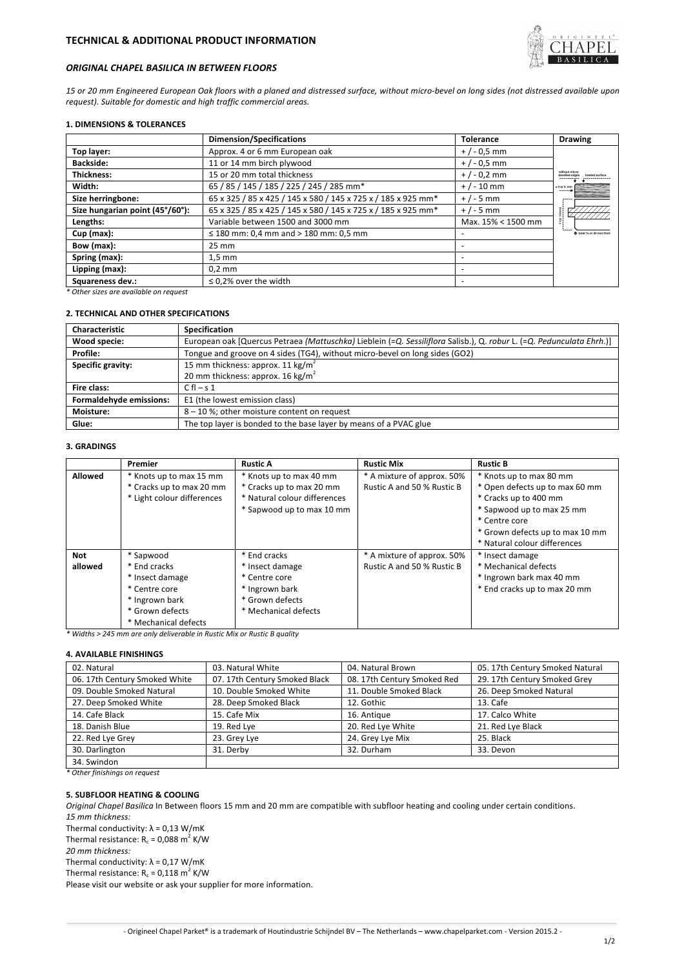

# *ORIGINAL CHAPEL BASILICA IN BETWEEN FLOORS*

*15 or 20 mm Engineered European Oak floors with a planed and distressed surface, without micro-bevel on long sides (not distressed available upon request). Suitable for domestic and high traffic commercial areas.*

# **1. DIMENSIONS & TOLERANCES**

|                                 | <b>Dimension/Specifications</b>                               | Tolerance          | <b>Drawing</b>            |
|---------------------------------|---------------------------------------------------------------|--------------------|---------------------------|
| Top layer:                      | Approx. 4 or 6 mm European oak                                | $+/-0.5$ mm        |                           |
| <b>Backside:</b>                | 11 or 14 mm birch plywood                                     | $+/-0.5$ mm        |                           |
| <b>Thickness:</b>               | 15 or 20 mm total thickness                                   | $+/-0.2$ mm        | without micro             |
| Width:                          | 65 / 85 / 145 / 185 / 225 / 245 / 285 mm*                     | $+$ / - 10 mm      | $±4$ or 6 mm<br>------    |
| Size herringbone:               | 65 x 325 / 85 x 425 / 145 x 580 / 145 x 725 x / 185 x 925 mm* | $+/-5$ mm          |                           |
| Size hungarian point (45°/60°): | 65 x 325 / 85 x 425 / 145 x 580 / 145 x 725 x / 185 x 925 mm* | $+/-5$ mm          |                           |
| Lengths:                        | Variable between 1500 and 3000 mm                             | Max. 15% < 1500 mm |                           |
| $Cup$ (max):                    | $\leq$ 180 mm: 0,4 mm and > 180 mm: 0,5 mm                    |                    | O total 15 or 20 mm thick |
| Bow (max):                      | $25 \text{ mm}$                                               |                    |                           |
| Spring (max):                   | $1,5$ mm                                                      |                    |                           |
| Lipping (max):                  | $0.2$ mm                                                      |                    |                           |
| Squareness dev.:                | $\leq$ 0.2% over the width                                    |                    |                           |

*\* Other sizes are available on request*

# **2. TECHNICAL AND OTHER SPECIFICATIONS**

| <b>Characteristic</b>   | Specification                                                                                                        |  |  |
|-------------------------|----------------------------------------------------------------------------------------------------------------------|--|--|
| Wood specie:            | European oak [Quercus Petraea (Mattuschka) Lieblein (=Q. Sessiliflora Salisb.), Q. robur L. (=Q. Pedunculata Ehrh.)] |  |  |
| Profile:                | Tongue and groove on 4 sides (TG4), without micro-bevel on long sides (GO2)                                          |  |  |
| Specific gravity:       | 15 mm thickness: approx. 11 kg/m <sup>2</sup>                                                                        |  |  |
|                         | 20 mm thickness: approx. 16 kg/m <sup>2</sup>                                                                        |  |  |
| Fire class:             | $C f - S 1$                                                                                                          |  |  |
| Formaldehyde emissions: | E1 (the lowest emission class)                                                                                       |  |  |
| Moisture:               | 8-10%; other moisture content on request                                                                             |  |  |
| Glue:                   | The top layer is bonded to the base layer by means of a PVAC glue                                                    |  |  |

## **3. GRADINGS**

|            | Premier                    | <b>Rustic A</b>              | <b>Rustic Mix</b>          | <b>Rustic B</b>                 |
|------------|----------------------------|------------------------------|----------------------------|---------------------------------|
| Allowed    | * Knots up to max 15 mm    | * Knots up to max 40 mm      | * A mixture of approx. 50% | * Knots up to max 80 mm         |
|            | * Cracks up to max 20 mm   | * Cracks up to max 20 mm     | Rustic A and 50 % Rustic B | * Open defects up to max 60 mm  |
|            | * Light colour differences | * Natural colour differences |                            | * Cracks up to 400 mm           |
|            |                            | * Sapwood up to max 10 mm    |                            | * Sapwood up to max 25 mm       |
|            |                            |                              |                            | * Centre core                   |
|            |                            |                              |                            | * Grown defects up to max 10 mm |
|            |                            |                              |                            | * Natural colour differences    |
| <b>Not</b> | * Sapwood                  | * End cracks                 | * A mixture of approx. 50% | * Insect damage                 |
| allowed    | * End cracks               | * Insect damage              | Rustic A and 50 % Rustic B | * Mechanical defects            |
|            | * Insect damage            | * Centre core                |                            | * Ingrown bark max 40 mm        |
|            | * Centre core              | * Ingrown bark               |                            | * End cracks up to max 20 mm    |
|            | * Ingrown bark             | * Grown defects              |                            |                                 |
|            | * Grown defects            | * Mechanical defects         |                            |                                 |
|            | * Mechanical defects       |                              |                            |                                 |

*\* Widths > 245 mm are only deliverable in Rustic Mix or Rustic B quality*

# **4. AVAILABLE FINISHINGS**

| 02. Natural                   | 03. Natural White             | 04. Natural Brown           | 05. 17th Century Smoked Natural |
|-------------------------------|-------------------------------|-----------------------------|---------------------------------|
| 06. 17th Century Smoked White | 07. 17th Century Smoked Black | 08. 17th Century Smoked Red | 29. 17th Century Smoked Grey    |
| 09. Double Smoked Natural     | 10. Double Smoked White       | 11. Double Smoked Black     | 26. Deep Smoked Natural         |
| 27. Deep Smoked White         | 28. Deep Smoked Black         | 12. Gothic                  | 13. Cafe                        |
| 14. Cafe Black                | 15. Cafe Mix                  | 16. Antique                 | 17. Calco White                 |
| 18. Danish Blue               | 19. Red Lye                   | 20. Red Lye White           | 21. Red Lye Black               |
| 22. Red Lye Grey              | 23. Grey Lye                  | 24. Grey Lye Mix            | 25. Black                       |
| 30. Darlington                | 31. Derby                     | 32. Durham                  | 33. Devon                       |
| 34. Swindon                   |                               |                             |                                 |

*\* Other finishings on request*

### **5. SUBFLOOR HEATING & COOLING**

*Original Chapel Basilica* In Between floors 15 mm and 20 mm are compatible with subfloor heating and cooling under certain conditions. *15 mm thickness:*

Thermal conductivity:  $\lambda = 0.13$  W/mK

Thermal resistance:  $R_c = 0.088$  m<sup>2</sup> K/W

*20 mm thickness:*

Thermal conductivity:  $\lambda = 0.17 W/mK$ 

Thermal resistance:  $R_c = 0.118 \text{ m}^2 \text{ K/W}$